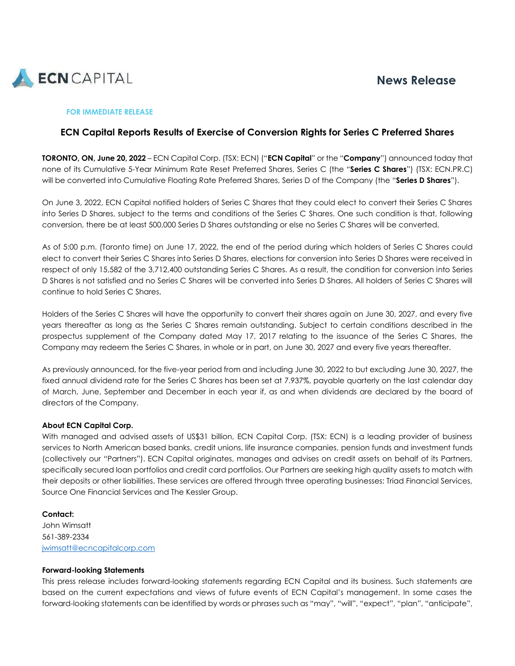

# **News Release**

### **FOR IMMEDIATE RELEASE**

## **ECN Capital Reports Results of Exercise of Conversion Rights for Series C Preferred Shares**

**TORONTO, ON, June 20, 2022** – ECN Capital Corp. (TSX: ECN) ("**ECN Capital**" or the "**Company**") announced today that none of its Cumulative 5-Year Minimum Rate Reset Preferred Shares, Series C (the "**Series C Shares**") (TSX: ECN.PR.C) will be converted into Cumulative Floating Rate Preferred Shares, Series D of the Company (the "**Series D Shares**").

On June 3, 2022, ECN Capital notified holders of Series C Shares that they could elect to convert their Series C Shares into Series D Shares, subject to the terms and conditions of the Series C Shares. One such condition is that, following conversion, there be at least 500,000 Series D Shares outstanding or else no Series C Shares will be converted.

As of 5:00 p.m. (Toronto time) on June 17, 2022, the end of the period during which holders of Series C Shares could elect to convert their Series C Shares into Series D Shares, elections for conversion into Series D Shares were received in respect of only 15,582 of the 3,712,400 outstanding Series C Shares. As a result, the condition for conversion into Series D Shares is not satisfied and no Series C Shares will be converted into Series D Shares. All holders of Series C Shares will continue to hold Series C Shares.

Holders of the Series C Shares will have the opportunity to convert their shares again on June 30, 2027, and every five years thereafter as long as the Series C Shares remain outstanding. Subject to certain conditions described in the prospectus supplement of the Company dated May 17, 2017 relating to the issuance of the Series C Shares, the Company may redeem the Series C Shares, in whole or in part, on June 30, 2027 and every five years thereafter.

As previously announced, for the five-year period from and including June 30, 2022 to but excluding June 30, 2027, the fixed annual dividend rate for the Series C Shares has been set at 7.937%, payable quarterly on the last calendar day of March, June, September and December in each year if, as and when dividends are declared by the board of directors of the Company.

## **About ECN Capital Corp.**

With managed and advised assets of US\$31 billion, ECN Capital Corp. (TSX: ECN) is a leading provider of business services to North American based banks, credit unions, life insurance companies, pension funds and investment funds (collectively our "Partners"). ECN Capital originates, manages and advises on credit assets on behalf of its Partners, specifically secured loan portfolios and credit card portfolios. Our Partners are seeking high quality assets to match with their deposits or other liabilities. These services are offered through three operating businesses: Triad Financial Services, Source One Financial Services and The Kessler Group.

**Contact:** John Wimsatt 561-389-2334 [jwimsatt@ecncapitalcorp.com](mailto:jwimsatt@ecncapitalcorp.com)

#### **Forward-looking Statements**

This press release includes forward-looking statements regarding ECN Capital and its business. Such statements are based on the current expectations and views of future events of ECN Capital's management. In some cases the forward-looking statements can be identified by words or phrases such as "may", "will", "expect", "plan", "anticipate",